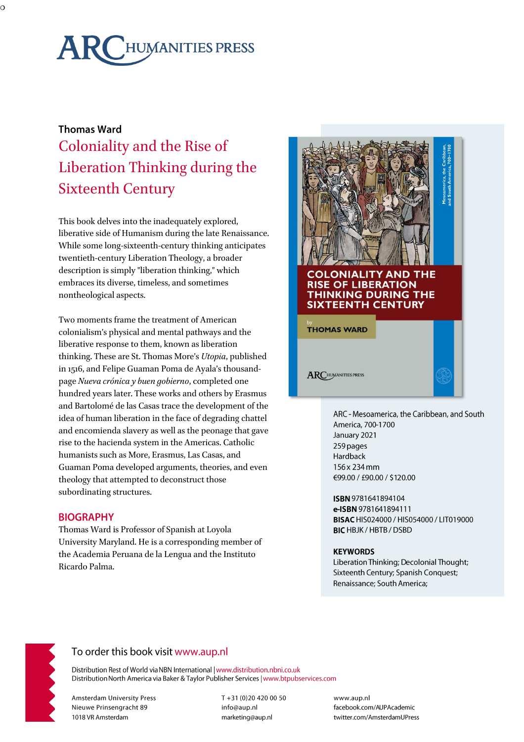# **ARCHUMANITIES PRESS**

# **Thomas Ward** Coloniality and the Rise of Liberation Thinking during the Sixteenth Century

This book delves into the inadequately explored, liberative side of Humanism during the late Renaissance. While some long-sixteenth-century thinking anticipates twentieth-century Liberation Theology, a broader description is simply "liberation thinking," which embraces its diverse, timeless, and sometimes nontheological aspects.

Two moments frame the treatment of American colonialism's physical and mental pathways and the liberative response to them, known as liberation thinking. These are St. Thomas More's *Utopia*, published in 1516, and Felipe Guaman Poma de Ayala's thousandpage *Nueva crónica y buen gobierno*, completed one hundred years later. These works and others by Erasmus and Bartolomé de las Casas trace the development of the idea of human liberation in the face of degrading chattel and encomienda slavery as well as the peonage that gave rise to the hacienda system in the Americas. Catholic humanists such as More, Erasmus, Las Casas, and Guaman Poma developed arguments, theories, and even theology that attempted to deconstruct those subordinating structures.

### **BIOGRAPHY**

Thomas Ward is Professor of Spanish at Loyola University Maryland. He is a corresponding member of the Academia Peruana de la Lengua and the Instituto Ricardo Palma.



ARC - Mesoamerica, the Caribbean, and South America, 700-1700 January 2021 259 pages Hardback 156 x 234 mm €99.00 / £90.00 / \$120.00

ISBN 9781641894104 e-ISBN 9781641894111 BISAC HIS024000 / HIS054000 / LIT019000 **BIC HBJK / HBTB / DSBD** 

#### **KEYWORDS**

Liberation Thinking; Decolonial Thought; Sixteenth Century; Spanish Conquest; Renaissance; South America;



# To order this book visit www.aup.nl

Distribution Rest of World via NBN International | www.distribution.nbni.co.uk Distribution North America via Baker & Taylor Publisher Services | www.btpubservices.com

**Amsterdam University Press** Nieuwe Prinsengracht 89 1018 VR Amsterdam

T+31 (0)20 420 00 50 info@aup.nl marketing@aup.nl

www.aup.nl facebook.com/AUPAcademic twitter.com/AmsterdamUPress